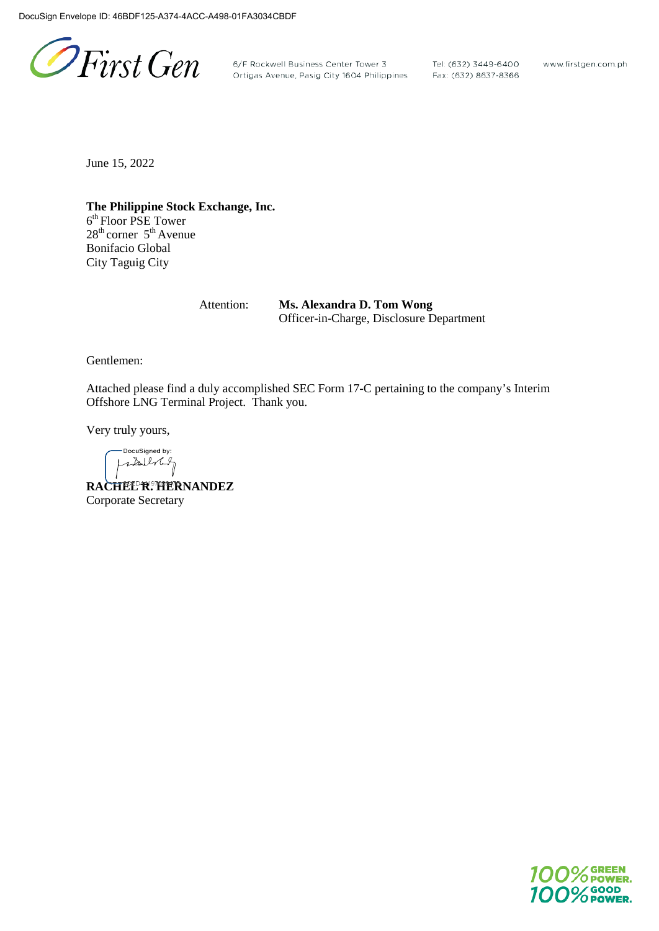PFirst Gen

6/F Rockwell Business Center Tower 3 Tel: (632) 3449-6400<br>Ortigas Avenue, Pasig City 1604 Philippines Fax: (632) 8637-8366

www.firstgen.com.ph

June 15, 2022

**The Philippine Stock Exchange, Inc.** 6<sup>th</sup> Floor PSE Tower  $28<sup>th</sup>$  corner  $5<sup>th</sup>$  Avenue Bonifacio Global City Taguig City

> Attention: **Ms. Alexandra D. Tom Wong** Officer-in-Charge, Disclosure Department

Gentlemen:

Attached please find a duly accomplished SEC Form 17-C pertaining to the company's Interim Offshore LNG Terminal Project. Thank you.

Very truly yours,

DocuSigned by: stalling

**RACHEL R. HERNANDEZ** Corporate Secretary